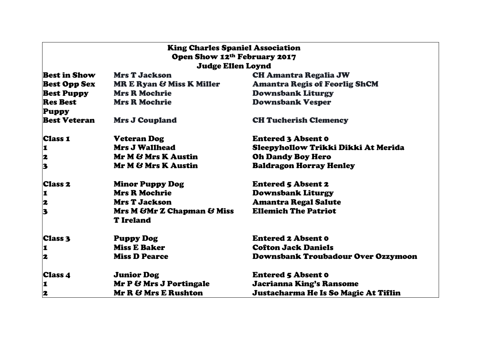| <b>King Charles Spaniel Association</b><br>Open Show 12 <sup>th</sup> February 2017 |                                                 |                                      |  |
|-------------------------------------------------------------------------------------|-------------------------------------------------|--------------------------------------|--|
| <b>Judge Ellen Loynd</b>                                                            |                                                 |                                      |  |
| <b>Best in Show</b>                                                                 | <b>Mrs T Jackson</b>                            | <b>CH Amantra Regalia JW</b>         |  |
| <b>Best Opp Sex</b>                                                                 | <b>MR E Ryan &amp; Miss K Miller</b>            | <b>Amantra Regis of Feorlig ShCM</b> |  |
| <b>Best Puppy</b>                                                                   | <b>Mrs R Mochrie</b>                            | <b>Downsbank Liturgy</b>             |  |
| <b>Res Best</b>                                                                     | <b>Mrs R Mochrie</b>                            | <b>Downsbank Vesper</b>              |  |
| <b>Puppy</b>                                                                        |                                                 |                                      |  |
| <b>Best Veteran</b>                                                                 | <b>Mrs J Coupland</b>                           | <b>CH Tucherish Clemency</b>         |  |
| <b>Class 1</b>                                                                      | <b>Veteran Dog</b>                              | <b>Entered 3 Absent 0</b>            |  |
| $\vert$ 1                                                                           | <b>Mrs J Wallhead</b>                           | Sleepyhollow Trikki Dikki At Merida  |  |
|                                                                                     | Mr M & Mrs K Austin                             | <b>Oh Dandy Boy Hero</b>             |  |
| $\begin{array}{c} \mathbf{2} \\ \mathbf{3} \end{array}$                             | Mr M & Mrs K Austin                             | <b>Baldragon Horray Henley</b>       |  |
| <b>Class 2</b>                                                                      | <b>Minor Puppy Dog</b>                          | <b>Entered 5 Absent 2</b>            |  |
| <b>1</b>                                                                            | <b>Mrs R Mochrie</b>                            | <b>Downsbank Liturgy</b>             |  |
| $\overline{\mathbf{z}}$                                                             | <b>Mrs T Jackson</b>                            | <b>Amantra Regal Salute</b>          |  |
| 3                                                                                   | Mrs M & Mr Z Chapman & Miss<br><b>T</b> Ireland | <b>Ellemich The Patriot</b>          |  |
| <b>Class 3</b>                                                                      | <b>Puppy Dog</b>                                | <b>Entered 2 Absent 0</b>            |  |
| 1                                                                                   | <b>Miss E Baker</b>                             | <b>Cofton Jack Daniels</b>           |  |
| 2                                                                                   | <b>Miss D Pearce</b>                            | Downsbank Troubadour Over Ozzymoon   |  |
| <b>Class 4</b>                                                                      | <b>Junior Dog</b>                               | <b>Entered 5 Absent 0</b>            |  |
| 1                                                                                   | Mr P & Mrs J Portingale                         | Jacrianna King's Ransome             |  |
| 2                                                                                   | <b>Mr R &amp; Mrs E Rushton</b>                 | Justacharma He Is So Magic At Tiflin |  |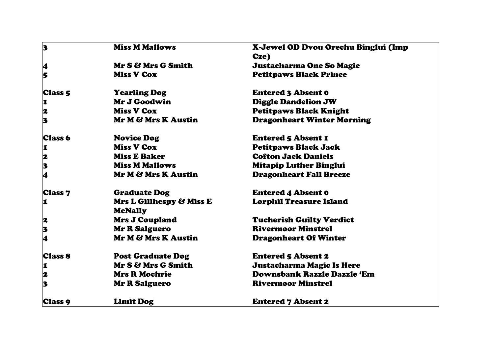| 3              | <b>Miss M Mallows</b>                      | X-Jewel OD Dvou Orechu Binglui (Imp |
|----------------|--------------------------------------------|-------------------------------------|
|                |                                            | Cze)                                |
| 4              | Mr S & Mrs G Smith                         | <b>Justacharma One So Magic</b>     |
| 5              | <b>Miss V Cox</b>                          | <b>Petitpaws Black Prince</b>       |
| <b>Class 5</b> | <b>Yearling Dog</b>                        | <b>Entered 3 Absent 0</b>           |
| 1              | Mr J Goodwin                               | <b>Diggle Dandelion JW</b>          |
| 2              | <b>Miss V Cox</b>                          | <b>Petitpaws Black Knight</b>       |
| 3              | Mr M & Mrs K Austin                        | <b>Dragonheart Winter Morning</b>   |
| Class 6        | <b>Novice Dog</b>                          | <b>Entered 5 Absent 1</b>           |
| 1              | <b>Miss V Cox</b>                          | <b>Petitpaws Black Jack</b>         |
| 2              | <b>Miss E Baker</b>                        | <b>Cofton Jack Daniels</b>          |
| 3              | <b>Miss M Mallows</b>                      | <b>Mitapip Luther Binglui</b>       |
| 4              | Mr M & Mrs K Austin                        | <b>Dragonheart Fall Breeze</b>      |
| <b>Class 7</b> | <b>Graduate Dog</b>                        | <b>Entered 4 Absent 0</b>           |
| ı              | Mrs L Gillhespy & Miss E<br><b>McNally</b> | <b>Lorphil Treasure Island</b>      |
| 2              | <b>Mrs J Coupland</b>                      | <b>Tucherish Guilty Verdict</b>     |
| 3              | <b>Mr R Salguero</b>                       | <b>Rivermoor Minstrel</b>           |
| 4              | Mr M & Mrs K Austin                        | <b>Dragonheart Of Winter</b>        |
| <b>Class 8</b> | <b>Post Graduate Dog</b>                   | <b>Entered 5 Absent 2</b>           |
| 1              | Mr S & Mrs G Smith                         | <b>Justacharma Magic Is Here</b>    |
| 2              | <b>Mrs R Mochrie</b>                       | <b>Downsbank Razzle Dazzle 'Em</b>  |
| 3              | <b>Mr R Salguero</b>                       | <b>Rivermoor Minstrel</b>           |
| Class 9        | <b>Limit Dog</b>                           | <b>Entered 7 Absent 2</b>           |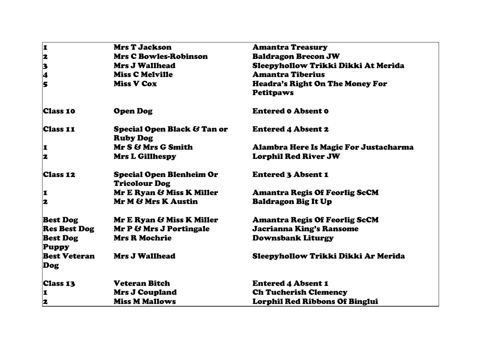|                     | <b>Mrs T Jackson</b>                                      | <b>Amantra Treasury</b>                |
|---------------------|-----------------------------------------------------------|----------------------------------------|
| 123                 | <b>Mrs C Bowles-Robinson</b>                              | <b>Baldragon Brecon JW</b>             |
|                     | <b>Mrs J Wallhead</b>                                     | Sleepyhollow Trikki Dikki At Merida    |
|                     | <b>Miss C Melville</b>                                    | <b>Amantra Tiberius</b>                |
| l<br>5              | <b>Miss V Cox</b>                                         | <b>Headra's Right On The Money For</b> |
|                     |                                                           | <b>Petitpaws</b>                       |
| <b>Class 10</b>     | <b>Open Dog</b>                                           | <b>Entered o Absent o</b>              |
| <b>Class 11</b>     | <b>Special Open Black &amp; Tan or</b><br><b>Ruby Dog</b> | <b>Entered 4 Absent 2</b>              |
| 1                   | Mr S & Mrs G Smith                                        | Alambra Here Is Magic For Justacharma  |
| 2                   | <b>Mrs L Gillhespy</b>                                    | <b>Lorphil Red River JW</b>            |
| <b>Class 12</b>     | <b>Special Open Blenheim Or</b><br><b>Tricolour Dog</b>   | <b>Entered 3 Absent 1</b>              |
| $\vert$ 1           | Mr E Ryan & Miss K Miller                                 | <b>Amantra Regis Of Feorlig ScCM</b>   |
| 2                   | Mr M & Mrs K Austin                                       | <b>Baldragon Big It Up</b>             |
| <b>Best Dog</b>     | Mr E Ryan & Miss K Miller                                 | <b>Amantra Regis Of Feorlig ScCM</b>   |
| <b>Res Best Dog</b> | Mr P & Mrs J Portingale                                   | Jacrianna King's Ransome               |
| <b>Best Dog</b>     | <b>Mrs R Mochrie</b>                                      | <b>Downsbank Liturgy</b>               |
| <b>Puppy</b>        |                                                           |                                        |
| <b>Best Veteran</b> | <b>Mrs J Wallhead</b>                                     | Sleepyhollow Trikki Dikki Ar Merida    |
| Dog                 |                                                           |                                        |
| <b>Class 13</b>     | <b>Veteran Bitch</b>                                      | <b>Entered 4 Absent 1</b>              |
| I                   | <b>Mrs J Coupland</b>                                     | <b>Ch Tucherish Clemency</b>           |
| 2                   | <b>Miss M Mallows</b>                                     | <b>Lorphil Red Ribbons Of Binglui</b>  |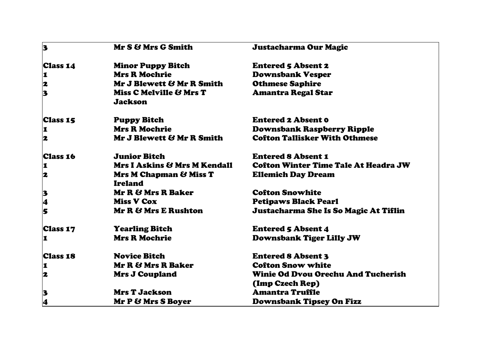| 3                                                       | Mr S & Mrs G Smith                                  | Justacharma Our Magic                       |
|---------------------------------------------------------|-----------------------------------------------------|---------------------------------------------|
| <b>Class 14</b>                                         | <b>Minor Puppy Bitch</b>                            | <b>Entered 5 Absent 2</b>                   |
| $\mathbf{1}$                                            | <b>Mrs R Mochrie</b>                                | <b>Downsbank Vesper</b>                     |
|                                                         | Mr J Blewett & Mr R Smith                           | <b>Othmese Saphire</b>                      |
| $\begin{array}{c} \mathbf{2} \\ \mathbf{3} \end{array}$ | Miss C Melville & Mrs T<br><b>Jackson</b>           | <b>Amantra Regal Star</b>                   |
| <b>Class 15</b>                                         | <b>Puppy Bitch</b>                                  | <b>Entered 2 Absent 0</b>                   |
| 1                                                       | <b>Mrs R Mochrie</b>                                | <b>Downsbank Raspberry Ripple</b>           |
| 2                                                       | Mr J Blewett & Mr R Smith                           | <b>Cofton Tallisker With Othmese</b>        |
| <b>Class 16</b>                                         | <b>Junior Bitch</b>                                 | <b>Entered 8 Absent 1</b>                   |
| 1                                                       | Mrs I Askins & Mrs M Kendall                        | <b>Cofton Winter Time Tale At Headra JW</b> |
| 2                                                       | <b>Mrs M Chapman &amp; Miss T</b><br><b>Ireland</b> | <b>Ellemich Day Dream</b>                   |
| $\mathbf{3}$                                            | Mr R & Mrs R Baker                                  | <b>Cofton Snowhite</b>                      |
| 4                                                       | <b>Miss V Cox</b>                                   | <b>Petipaws Black Pearl</b>                 |
| 5                                                       | Mr R & Mrs E Rushton                                | Justacharma She Is So Magic At Tiflin       |
| <b>Class 17</b>                                         | <b>Yearling Bitch</b>                               | <b>Entered 5 Absent 4</b>                   |
| 1                                                       | <b>Mrs R Mochrie</b>                                | <b>Downsbank Tiger Lilly JW</b>             |
| <b>Class 18</b>                                         | <b>Novice Bitch</b>                                 | <b>Entered 8 Absent 3</b>                   |
| I                                                       | Mr R & Mrs R Baker                                  | <b>Cofton Snow white</b>                    |
| 2                                                       | <b>Mrs J Coupland</b>                               | <b>Winie Od Dvou Orechu And Tucherish</b>   |
|                                                         |                                                     | (Imp Czech Rep)                             |
| 3                                                       | <b>Mrs T Jackson</b>                                | <b>Amantra Truffle</b>                      |
| 4                                                       | Mr P & Mrs S Boyer                                  | Downsbank Tipsey On Fizz                    |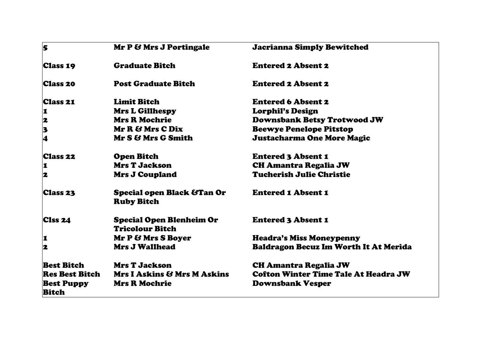| 5                                          | Mr P & Mrs J Portingale                                    | <b>Jacrianna Simply Bewitched</b>            |
|--------------------------------------------|------------------------------------------------------------|----------------------------------------------|
| <b>Class 19</b>                            | <b>Graduate Bitch</b>                                      | <b>Entered 2 Absent 2</b>                    |
| <b>Class 20</b>                            | <b>Post Graduate Bitch</b>                                 | <b>Entered 2 Absent 2</b>                    |
| <b>Class 21</b>                            | <b>Limit Bitch</b>                                         | <b>Entered 6 Absent 2</b>                    |
| $\vert$ 1                                  | <b>Mrs L Gillhespy</b>                                     | <b>Lorphil's Design</b>                      |
| $\overline{\mathbf{z}}$                    | <b>Mrs R Mochrie</b>                                       | <b>Downsbank Betsy Trotwood JW</b>           |
|                                            | Mr R & Mrs C Dix                                           | <b>Beewye Penelope Pitstop</b>               |
| $\begin{array}{c} \n 3 \\ 4\n \end{array}$ | Mr S & Mrs G Smith                                         | <b>Justacharma One More Magic</b>            |
| <b>Class 22</b>                            | <b>Open Bitch</b>                                          | <b>Entered 3 Absent 1</b>                    |
| <b>1</b>                                   | <b>Mrs T Jackson</b>                                       | <b>CH Amantra Regalia JW</b>                 |
| 2                                          | <b>Mrs J Coupland</b>                                      | <b>Tucherish Julie Christie</b>              |
| Class 23                                   | <b>Special open Black &amp;Tan Or</b><br><b>Ruby Bitch</b> | <b>Entered 1 Absent 1</b>                    |
| <b>CIss 24</b>                             | <b>Special Open Blenheim Or</b><br><b>Tricolour Bitch</b>  | <b>Entered 3 Absent 1</b>                    |
| I                                          | Mr P & Mrs S Boyer                                         | <b>Headra's Miss Moneypenny</b>              |
| 2                                          | <b>Mrs J Wallhead</b>                                      | <b>Baldragon Becuz Im Worth It At Merida</b> |
| <b>Best Bitch</b>                          | <b>Mrs T Jackson</b>                                       | <b>CH Amantra Regalia JW</b>                 |
| <b>Res Best Bitch</b>                      | <b>Mrs I Askins &amp; Mrs M Askins</b>                     | <b>Cofton Winter Time Tale At Headra JW</b>  |
| <b>Best Puppy</b><br><b>Bitch</b>          | <b>Mrs R Mochrie</b>                                       | <b>Downsbank Vesper</b>                      |